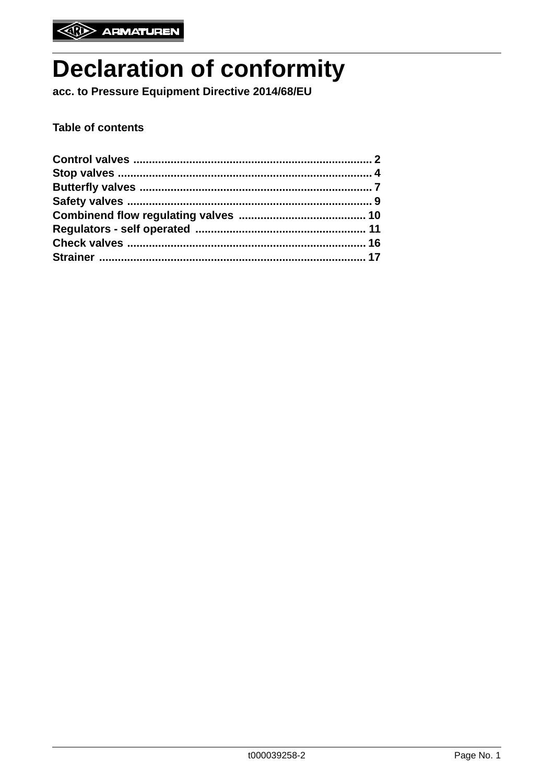# **Declaration of conformity**

acc. to Pressure Equipment Directive 2014/68/EU

**Table of contents**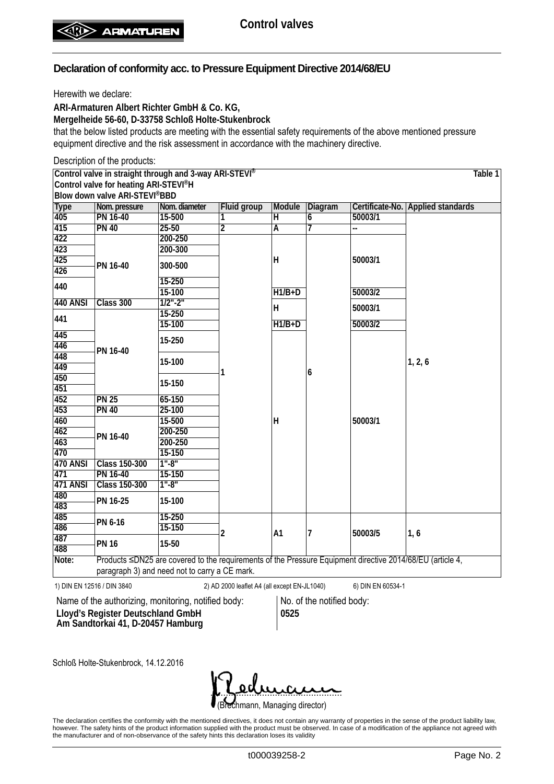Herewith we declare:

**ARI-Armaturen Albert Richter GmbH & Co. KG,**

**Mergelheide 56-60, D-33758 Schloß Holte-Stukenbrock**

that the below listed products are meeting with the essential safety requirements of the above mentioned pressure equipment directive and the risk assessment in accordance with the machinery directive.

Description of the products:

**Control valve in straight through and 3-way ARI-STEVI®**

**Control valve for heating ARI-STEVI®H Blow down valve ARI-STEVI®BBD**

|                  | Blow down valve ARI-STEVI <sup>®</sup> BBD |                                               |                |                |                |         |                                                                                                           |
|------------------|--------------------------------------------|-----------------------------------------------|----------------|----------------|----------------|---------|-----------------------------------------------------------------------------------------------------------|
| <b>Type</b>      | Nom. pressure                              | Nom. diameter                                 | Fluid group    | Module         | Diagram        |         | Certificate-No. Applied standards                                                                         |
| $\overline{405}$ | <b>PN 16-40</b>                            | 15-500                                        | 1              | H              | 6              | 50003/1 |                                                                                                           |
| 415              | <b>PN 40</b>                               | $25 - 50$                                     | $\overline{2}$ | Ā              | 7              | -−      |                                                                                                           |
| 422              |                                            | 200-250                                       |                |                |                |         |                                                                                                           |
| 423              |                                            | 200-300                                       |                |                |                |         |                                                                                                           |
| 425              | PN 16-40                                   | 300-500                                       |                | H              |                | 50003/1 |                                                                                                           |
| 426              |                                            |                                               |                |                |                |         |                                                                                                           |
| 440              |                                            | $15 - 250$                                    |                |                |                |         |                                                                                                           |
|                  |                                            | 15-100                                        |                | $H1/B+D$       |                | 50003/2 |                                                                                                           |
| <b>440 ANSI</b>  | Class 300                                  | $1/2$ "-2"                                    |                | H.             |                | 50003/1 |                                                                                                           |
| 441              |                                            | $15 - 250$                                    |                |                |                |         |                                                                                                           |
|                  |                                            | 15-100                                        |                | $H1/B+D$       |                | 50003/2 |                                                                                                           |
| 445              |                                            | 15-250                                        |                |                |                |         |                                                                                                           |
| 446              | PN 16-40                                   |                                               |                |                |                |         |                                                                                                           |
| 448              |                                            |                                               |                |                |                |         |                                                                                                           |
| 449              |                                            | 15-100                                        |                |                |                |         | 1, 2, 6                                                                                                   |
| 450              |                                            |                                               | 1              |                | 6              |         |                                                                                                           |
| 451              |                                            | 15-150                                        |                |                |                |         |                                                                                                           |
| 452              | <b>PN 25</b>                               | $65 - 150$                                    |                | Н              |                |         |                                                                                                           |
| 453              | <b>PN 40</b>                               | $25 - 100$                                    |                |                |                | 50003/1 |                                                                                                           |
| 460              |                                            | 15-500                                        |                |                |                |         |                                                                                                           |
| 462              |                                            | 200-250                                       |                |                |                |         |                                                                                                           |
| 463              | PN 16-40                                   | 200-250                                       |                |                |                |         |                                                                                                           |
| 470              |                                            | 15-150                                        |                |                |                |         |                                                                                                           |
| <b>470 ANSI</b>  | <b>Class 150-300</b>                       | $1" - 8"$                                     |                |                |                |         |                                                                                                           |
| 471              | PN 16-40                                   | 15-150                                        |                |                |                |         |                                                                                                           |
| 471 ANSI         | <b>Class 150-300</b>                       | $1" - 8"$                                     |                |                |                |         |                                                                                                           |
| 480              |                                            |                                               |                |                |                |         |                                                                                                           |
| 483              | PN 16-25                                   | 15-100                                        |                |                |                |         |                                                                                                           |
| 485              |                                            | $15 - 250$                                    |                |                |                |         |                                                                                                           |
| 486              | PN 6-16                                    | 15-150                                        |                |                |                |         |                                                                                                           |
| 487              |                                            |                                               | 2              | A <sub>1</sub> | $\overline{7}$ | 50003/5 | 1, 6                                                                                                      |
| 488              | <b>PN 16</b>                               | 15-50                                         |                |                |                |         |                                                                                                           |
| Note:            |                                            |                                               |                |                |                |         | Products ≤DN25 are covered to the requirements of the Pressure Equipment directive 2014/68/EU (article 4, |
|                  |                                            | paragraph 3) and need not to carry a CE mark. |                |                |                |         |                                                                                                           |

1) DIN EN 12516 / DIN 3840 2) AD 2000 leaflet A4 (all except EN-JL1040) 6) DIN EN 60534-1

Name of the authorizing, monitoring, notified body: No. of the notified body: **Lloyd's Register Deutschland GmbH Am Sandtorkai 41, D-20457 Hamburg**

**0525**

Schloß Holte-Stukenbrock, 14.12.2016

(Brechmann, Managing director) <u>. semana</u>

The declaration certifies the conformity with the mentioned directives, it does not contain any warranty of properties in the sense of the product liability law, however. The safety hints of the product information supplied with the product must be observed. In case of a modification of the appliance not agreed with the manufacturer and of non-observance of the safety hints this declaration loses its validity

t000039258-2 Page No. 2

**Table 1**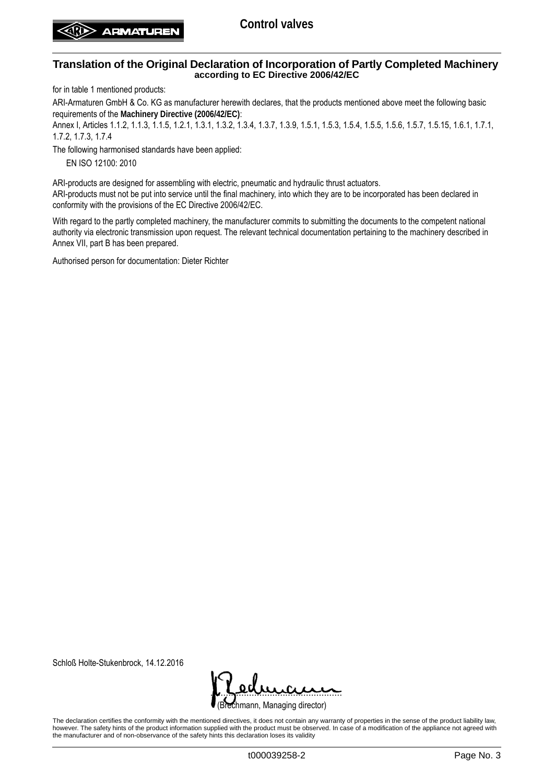for in table 1 mentioned products:

ARI-Armaturen GmbH & Co. KG as manufacturer herewith declares, that the products mentioned above meet the following basic requirements of the **Machinery Directive (2006/42/EC)**:

Annex I, Articles 1.1.2, 1.1.3, 1.1.5, 1.2.1, 1.3.1, 1.3.2, 1.3.4, 1.3.7, 1.3.9, 1.5.1, 1.5.3, 1.5.4, 1.5.5, 1.5.6, 1.5.7, 1.5.15, 1.6.1, 1.7.1, 1.7.2, 1.7.3, 1.7.4

The following harmonised standards have been applied:

EN ISO 12100: 2010

ARI-products are designed for assembling with electric, pneumatic and hydraulic thrust actuators. ARI-products must not be put into service until the final machinery, into which they are to be incorporated has been declared in conformity with the provisions of the EC Directive 2006/42/EC.

With regard to the partly completed machinery, the manufacturer commits to submitting the documents to the competent national authority via electronic transmission upon request. The relevant technical documentation pertaining to the machinery described in Annex VII, part B has been prepared.

Authorised person for documentation: Dieter Richter

Schloß Holte-Stukenbrock, 14.12.2016

rechmann, Managing director) <u>. semana</u>

The declaration certifies the conformity with the mentioned directives, it does not contain any warranty of properties in the sense of the product liability law, however. The safety hints of the product information supplied with the product must be observed. In case of a modification of the appliance not agreed with the manufacturer and of non-observance of the safety hints this declaration loses its validity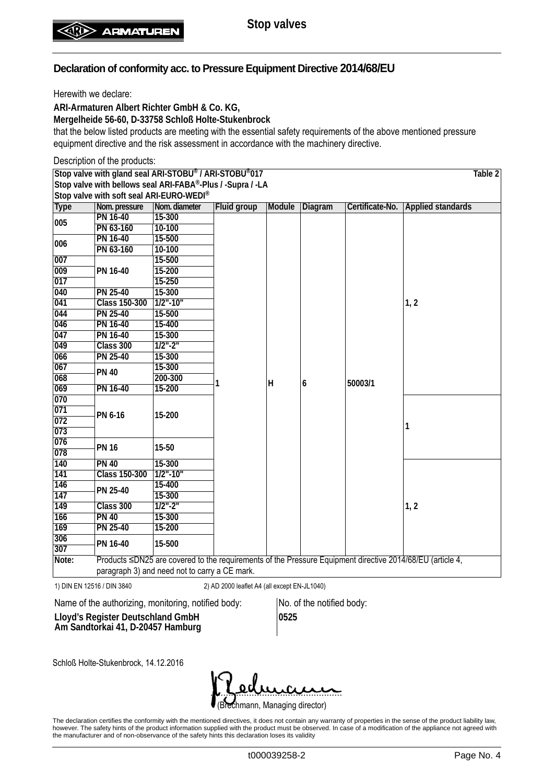Herewith we declare:

**ARI-Armaturen Albert Richter GmbH & Co. KG,**

**Mergelheide 56-60, D-33758 Schloß Holte-Stukenbrock**

that the below listed products are meeting with the essential safety requirements of the above mentioned pressure equipment directive and the risk assessment in accordance with the machinery directive.

Description of the products: **Stop valve with gland seal ARI-STOBU® / ARI-STOBU®017 Stop valve with bellows seal ARI-FABA®-Plus / -Supra / -LA Stop valve with soft seal ARI-EURO-WEDI® Table 2 Type Nom. pressure Nom. diameter Fluid group Module Diagram Certificate-No. Applied standards <sup>005</sup> PN 16-40 15-300 1 H 6 50003/1 1, 2 PN 63-160 <sup>006</sup> PN 16-40 15-500 PN 63-160 007 PN 16-40** 15-200 **15-500 017 15-250 040 PN 25-40 15-300 041 Class 150-300 1/2"-10" 044 PN 25-40 15-500 046 PN 16-40 15-400 047 PN 16-40 15-300 049 Class 300 1/2"-2" 066 PN 25-40 15-300 <sup>067</sup> PN 40 15-300 068 200-300 069 PN 16-40 15-200 070 PN 6-16 15-200 1 071 072 073 <sup>076</sup> PN 16 15-50 <sup>078</sup> 140 PN 40 15-300 1, 2 141 Class 150-300 1/2"-10" 146 PN 25-40 15-300**<br>**1/2"-2" 149 Class 300 1/2"-2" 166** PN 40 **169 PN 25-40 15-200 <sup>306</sup> PN 16-40 15-500 <sup>307</sup> Note:** Products ≤DN25 are covered to the requirements of the Pressure Equipment directive 2014/68/EU (article 4, paragraph 3) and need not to carry a CE mark.

1) DIN EN 12516 / DIN 3840 2) AD 2000 leaflet A4 (all except EN-JL1040)

Name of the authorizing, monitoring, notified body: No. of the notified body:

**Lloyd's Register Deutschland GmbH Am Sandtorkai 41, D-20457 Hamburg** **0525**

Schloß Holte-Stukenbrock, 14.12.2016

rechmann, Managing director) <u>. semana</u>

The declaration certifies the conformity with the mentioned directives, it does not contain any warranty of properties in the sense of the product liability law, however. The safety hints of the product information supplied with the product must be observed. In case of a modification of the appliance not agreed with the manufacturer and of non-observance of the safety hints this declaration loses its validity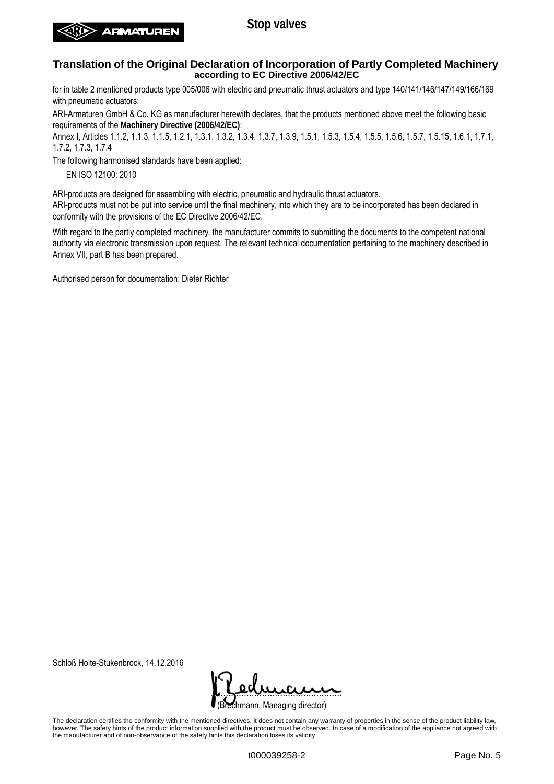for in table 2 mentioned products type 005/006 with electric and pneumatic thrust actuators and type 140/141/146/147/149/166/169 with pneumatic actuators:

ARI-Armaturen GmbH & Co. KG as manufacturer herewith declares, that the products mentioned above meet the following basic requirements of the **Machinery Directive (2006/42/EC)**:

Annex I, Articles 1.1.2, 1.1.3, 1.1.5, 1.2.1, 1.3.1, 1.3.2, 1.3.4, 1.3.7, 1.3.9, 1.5.1, 1.5.3, 1.5.4, 1.5.5, 1.5.6, 1.5.7, 1.5.15, 1.6.1, 1.7.1, 1.7.2, 1.7.3, 1.7.4

The following harmonised standards have been applied:

EN ISO 12100: 2010

ARI-products are designed for assembling with electric, pneumatic and hydraulic thrust actuators.

ARI-products must not be put into service until the final machinery, into which they are to be incorporated has been declared in conformity with the provisions of the EC Directive 2006/42/EC.

With regard to the partly completed machinery, the manufacturer commits to submitting the documents to the competent national authority via electronic transmission upon request. The relevant technical documentation pertaining to the machinery described in Annex VII, part B has been prepared.

Authorised person for documentation: Dieter Richter

Schloß Holte-Stukenbrock, 14.12.2016

rechmann, Managing director) <u>. semana</u>

The declaration certifies the conformity with the mentioned directives, it does not contain any warranty of properties in the sense of the product liability law, however. The safety hints of the product information supplied with the product must be observed. In case of a modification of the appliance not agreed with the manufacturer and of non-observance of the safety hints this declaration loses its validity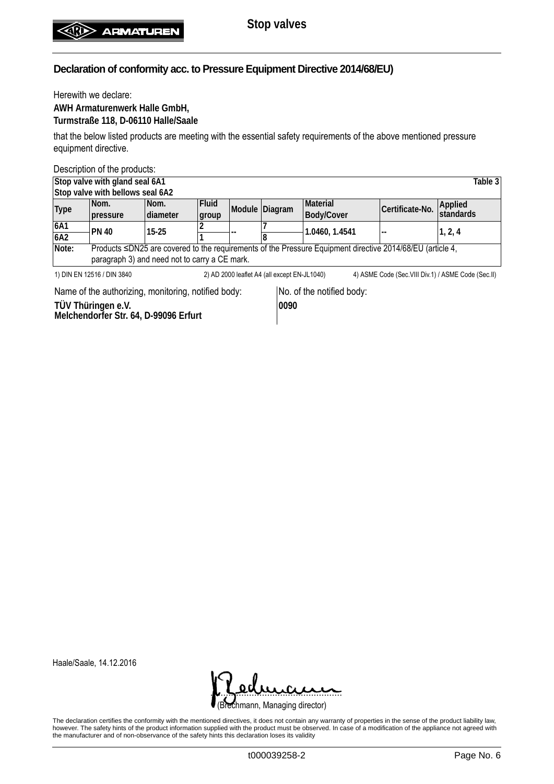Herewith we declare: **AWH Armaturenwerk Halle GmbH, Turmstraße 118, D-06110 Halle/Saale**

that the below listed products are meeting with the essential safety requirements of the above mentioned pressure equipment directive.

Description of the products:

|                                                                                                                                     | Stop valve with gland seal 6A1                |                 |              |  |                |                                                                                                           |                 | Table 3              |  |  |  |
|-------------------------------------------------------------------------------------------------------------------------------------|-----------------------------------------------|-----------------|--------------|--|----------------|-----------------------------------------------------------------------------------------------------------|-----------------|----------------------|--|--|--|
|                                                                                                                                     | Stop valve with bellows seal 6A2              |                 |              |  |                |                                                                                                           |                 |                      |  |  |  |
| <b>Type</b>                                                                                                                         | Nom.                                          | Nom.            | <b>Fluid</b> |  | Module Diagram | Material                                                                                                  | Certificate-No. | Applied<br>standards |  |  |  |
|                                                                                                                                     | pressure                                      | <b>diameter</b> | group        |  |                | Body/Cover                                                                                                |                 |                      |  |  |  |
| 6A1                                                                                                                                 | <b>PN 40</b>                                  | $15-25$         |              |  |                | 1.0460, 1.4541                                                                                            |                 | 1, 2, 4              |  |  |  |
| 6A2                                                                                                                                 |                                               |                 |              |  |                |                                                                                                           |                 |                      |  |  |  |
| Note:                                                                                                                               |                                               |                 |              |  |                | Products ≤DN25 are covered to the requirements of the Pressure Equipment directive 2014/68/EU (article 4, |                 |                      |  |  |  |
|                                                                                                                                     | paragraph 3) and need not to carry a CE mark. |                 |              |  |                |                                                                                                           |                 |                      |  |  |  |
| 2) AD 2000 leaflet A4 (all except EN-JL1040)<br>4) ASME Code (Sec. VIII Div. 1) / ASME Code (Sec. II)<br>1) DIN EN 12516 / DIN 3840 |                                               |                 |              |  |                |                                                                                                           |                 |                      |  |  |  |

Name of the authorizing, monitoring, notified body: No. of the notified body:

**TÜV Thüringen e.V. Melchendorfer Str. 64, D-99096 Erfurt**

**0090**

Haale/Saale, 14.12.2016



The declaration certifies the conformity with the mentioned directives, it does not contain any warranty of properties in the sense of the product liability law, however. The safety hints of the product information supplied with the product must be observed. In case of a modification of the appliance not agreed with the manufacturer and of non-observance of the safety hints this declaration loses its validity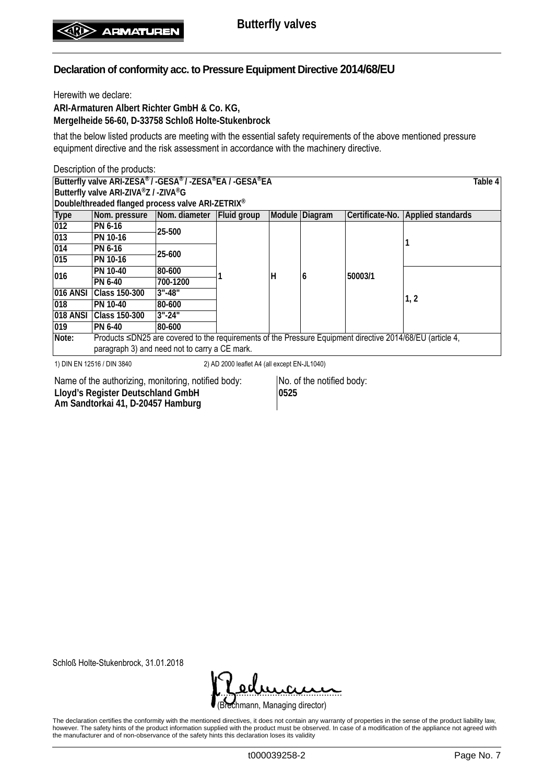Herewith we declare:

**ARI-Armaturen Albert Richter GmbH & Co. KG, Mergelheide 56-60, D-33758 Schloß Holte-Stukenbrock**

that the below listed products are meeting with the essential safety requirements of the above mentioned pressure equipment directive and the risk assessment in accordance with the machinery directive.

|                                      | Description of the products:                                                                                                                                                                                                                                                                                                   |            |  |   |                |                 |                          |  |  |  |
|--------------------------------------|--------------------------------------------------------------------------------------------------------------------------------------------------------------------------------------------------------------------------------------------------------------------------------------------------------------------------------|------------|--|---|----------------|-----------------|--------------------------|--|--|--|
|                                      | Butterfly valve ARI-ZESA® / -GESA® / -ZESA®EA / -GESA®EA<br>Table 4                                                                                                                                                                                                                                                            |            |  |   |                |                 |                          |  |  |  |
| Butterfly valve ARI-ZIVA®Z / -ZIVA®G |                                                                                                                                                                                                                                                                                                                                |            |  |   |                |                 |                          |  |  |  |
|                                      | Double/threaded flanged process valve ARI-ZETRIX®                                                                                                                                                                                                                                                                              |            |  |   |                |                 |                          |  |  |  |
| <b>Type</b>                          | Nom. pressure Nom. diameter Fluid group                                                                                                                                                                                                                                                                                        |            |  |   | Module Diagram | Certificate-No. | <b>Applied standards</b> |  |  |  |
| 012                                  | PN 6-16                                                                                                                                                                                                                                                                                                                        | 25-500     |  |   |                |                 |                          |  |  |  |
| 013                                  | PN 10-16                                                                                                                                                                                                                                                                                                                       |            |  | н |                |                 |                          |  |  |  |
| 014                                  | PN 6-16                                                                                                                                                                                                                                                                                                                        | 25-600     |  |   |                |                 |                          |  |  |  |
| 015                                  | PN 10-16                                                                                                                                                                                                                                                                                                                       |            |  |   |                |                 |                          |  |  |  |
|                                      | PN 10-40                                                                                                                                                                                                                                                                                                                       | 80-600     |  |   |                | 50003/1         |                          |  |  |  |
| 016                                  | PN 6-40                                                                                                                                                                                                                                                                                                                        | 700-1200   |  |   | 6              |                 |                          |  |  |  |
| 016 ANSI                             | Class 150-300                                                                                                                                                                                                                                                                                                                  | $3" - 48"$ |  |   |                |                 |                          |  |  |  |
| 018                                  | PN 10-40                                                                                                                                                                                                                                                                                                                       | 80-600     |  |   |                |                 | 1, 2                     |  |  |  |
| 018 ANSI                             | Class 150-300                                                                                                                                                                                                                                                                                                                  | $3" - 24"$ |  |   |                |                 |                          |  |  |  |
| 019                                  | PN 6-40                                                                                                                                                                                                                                                                                                                        | 80-600     |  |   |                |                 |                          |  |  |  |
| Note:                                | Products ≤DN25 are covered to the requirements of the Pressure Equipment directive 2014/68/EU (article 4,                                                                                                                                                                                                                      |            |  |   |                |                 |                          |  |  |  |
|                                      | paragraph 3) and need not to carry a CE mark.                                                                                                                                                                                                                                                                                  |            |  |   |                |                 |                          |  |  |  |
|                                      | 1) DIN EN 12516 / DIN 3840<br>2) AD 2000 leaflet A4 (all except EN-JL1040)<br>$\mathbf{r}$<br>$\mathbf{r}$ , and the set of the set of the set of the set of the set of the set of the set of the set of the set of the set of the set of the set of the set of the set of the set of the set of the set of the set of the set |            |  |   |                |                 |                          |  |  |  |

Name of the authorizing, monitoring, notified body: No. of the notified body: **Lloyd's Register Deutschland GmbH Am Sandtorkai 41, D-20457 Hamburg**

**0525**

Schloß Holte-Stukenbrock, 31.01.2018

(Brechmann, Managing director) <u>. semana</u>

The declaration certifies the conformity with the mentioned directives, it does not contain any warranty of properties in the sense of the product liability law, however. The safety hints of the product information supplied with the product must be observed. In case of a modification of the appliance not agreed with the manufacturer and of non-observance of the safety hints this declaration loses its validity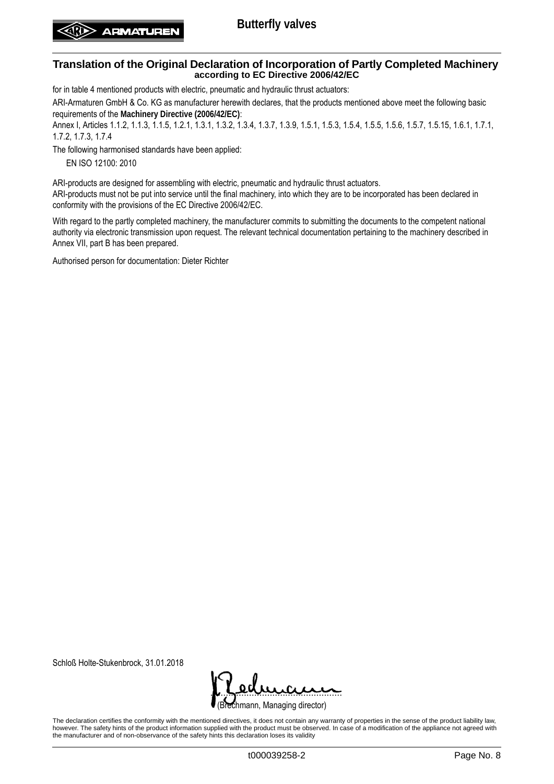## **Butterfly valves**

#### **Translation of the Original Declaration of Incorporation of Partly Completed Machinery according to EC Directive 2006/42/EC**

for in table 4 mentioned products with electric, pneumatic and hydraulic thrust actuators:

ARI-Armaturen GmbH & Co. KG as manufacturer herewith declares, that the products mentioned above meet the following basic requirements of the **Machinery Directive (2006/42/EC)**:

Annex I, Articles 1.1.2, 1.1.3, 1.1.5, 1.2.1, 1.3.1, 1.3.2, 1.3.4, 1.3.7, 1.3.9, 1.5.1, 1.5.3, 1.5.4, 1.5.5, 1.5.6, 1.5.7, 1.5.15, 1.6.1, 1.7.1, 1.7.2, 1.7.3, 1.7.4

The following harmonised standards have been applied:

EN ISO 12100: 2010

ARI-products are designed for assembling with electric, pneumatic and hydraulic thrust actuators. ARI-products must not be put into service until the final machinery, into which they are to be incorporated has been declared in conformity with the provisions of the EC Directive 2006/42/EC.

With regard to the partly completed machinery, the manufacturer commits to submitting the documents to the competent national authority via electronic transmission upon request. The relevant technical documentation pertaining to the machinery described in Annex VII, part B has been prepared.

Authorised person for documentation: Dieter Richter

Schloß Holte-Stukenbrock, 31.01.2018

rechmann, Managing director) <u>. semana</u>

The declaration certifies the conformity with the mentioned directives, it does not contain any warranty of properties in the sense of the product liability law, however. The safety hints of the product information supplied with the product must be observed. In case of a modification of the appliance not agreed with the manufacturer and of non-observance of the safety hints this declaration loses its validity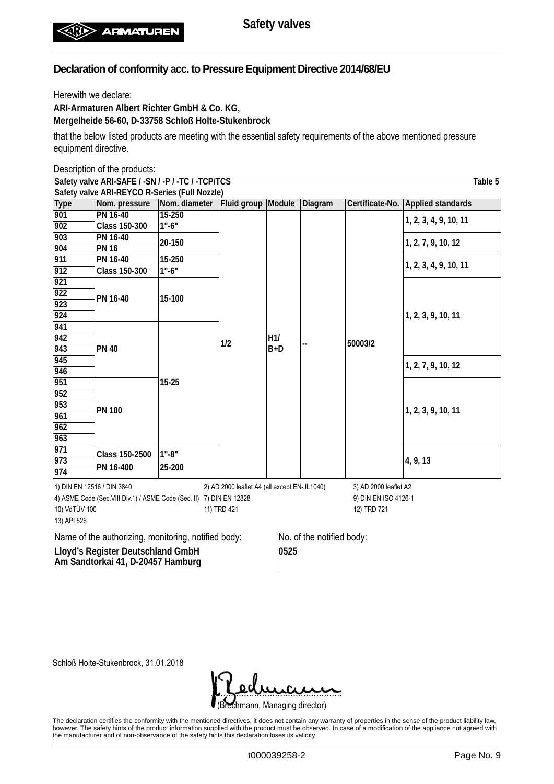Herewith we declare:

**ARI-Armaturen Albert Richter GmbH & Co. KG, Mergelheide 56-60, D-33758 Schloß Holte-Stukenbrock**

that the below listed products are meeting with the essential safety requirements of the above mentioned pressure equipment directive.

Description of the products:

| Table 5<br>Safety valve ARI-SAFE / -SN / -P / -TC / -TCP/TCS          |                                               |               |                                              |              |                      |                       |                                   |  |  |
|-----------------------------------------------------------------------|-----------------------------------------------|---------------|----------------------------------------------|--------------|----------------------|-----------------------|-----------------------------------|--|--|
|                                                                       | Safety valve ARI-REYCO R-Series (Full Nozzle) |               |                                              |              |                      |                       |                                   |  |  |
| <b>Type</b>                                                           | Nom. pressure                                 | Nom. diameter | Fluid group                                  | Module       | Diagram              |                       | Certificate-No. Applied standards |  |  |
| 901                                                                   | PN 16-40                                      | 15-250        |                                              |              |                      |                       | 1, 2, 3, 4, 9, 10, 11             |  |  |
| 902                                                                   | Class 150-300                                 | $1" - 6"$     |                                              |              |                      |                       |                                   |  |  |
| 903                                                                   | PN 16-40                                      | 20-150        |                                              |              |                      |                       | 1, 2, 7, 9, 10, 12                |  |  |
| 904                                                                   | <b>PN 16</b>                                  |               |                                              |              |                      |                       |                                   |  |  |
| 911                                                                   | PN 16-40                                      | $15 - 250$    |                                              |              |                      |                       | 1, 2, 3, 4, 9, 10, 11             |  |  |
| 912                                                                   | <b>Class 150-300</b>                          | $1" - 6"$     |                                              |              |                      |                       |                                   |  |  |
| 921                                                                   |                                               |               | 1/2                                          |              |                      |                       |                                   |  |  |
| 922                                                                   | PN 16-40                                      | 15-100        |                                              |              |                      |                       |                                   |  |  |
| 923                                                                   |                                               |               |                                              |              |                      |                       |                                   |  |  |
| 924                                                                   |                                               |               |                                              | H1/<br>$B+D$ |                      |                       | 1, 2, 3, 9, 10, 11                |  |  |
| 941                                                                   |                                               |               |                                              |              |                      |                       |                                   |  |  |
| 942                                                                   | <b>PN 40</b>                                  |               |                                              |              |                      | 50003/2               |                                   |  |  |
| 943                                                                   |                                               |               |                                              |              |                      |                       |                                   |  |  |
| 945                                                                   |                                               | $15 - 25$     |                                              |              |                      |                       | 1, 2, 7, 9, 10, 12                |  |  |
| 946                                                                   |                                               |               |                                              |              |                      |                       |                                   |  |  |
| 951                                                                   |                                               |               |                                              |              |                      |                       |                                   |  |  |
| 952                                                                   |                                               |               |                                              |              |                      |                       |                                   |  |  |
| 953                                                                   | <b>PN 100</b>                                 |               |                                              |              |                      |                       | 1, 2, 3, 9, 10, 11                |  |  |
| 961                                                                   |                                               |               |                                              |              |                      |                       |                                   |  |  |
| 962                                                                   |                                               |               |                                              |              |                      |                       |                                   |  |  |
| 963                                                                   |                                               |               |                                              |              |                      |                       |                                   |  |  |
| 971                                                                   | Class 150-2500                                | $1" - 8"$     |                                              |              |                      |                       |                                   |  |  |
| 973                                                                   | PN 16-400                                     | 25-200        |                                              |              |                      |                       | 4, 9, 13                          |  |  |
| 974                                                                   |                                               |               |                                              |              |                      |                       |                                   |  |  |
| 1) DIN EN 12516 / DIN 3840                                            |                                               |               | 2) AD 2000 leaflet A4 (all except EN-JL1040) |              |                      | 3) AD 2000 leaflet A2 |                                   |  |  |
| 4) ASME Code (Sec. VIII Div. 1) / ASME Code (Sec. II) 7) DIN EN 12828 |                                               |               |                                              |              | 9) DIN EN ISO 4126-1 |                       |                                   |  |  |
| 10) VdTÜV 100                                                         |                                               |               | 11) TRD 421                                  |              |                      | 12) TRD 721           |                                   |  |  |
| 13) API 526                                                           |                                               |               |                                              |              |                      |                       |                                   |  |  |

Name of the authorizing, monitoring, notified body: No. of the notified body: **Lloyd's Register Deutschland GmbH** 

**Am Sandtorkai 41, D-20457 Hamburg**

**0525**

Schloß Holte-Stukenbrock, 31.01.2018

(Brechmann, Managing director) <u>. semana</u>

The declaration certifies the conformity with the mentioned directives, it does not contain any warranty of properties in the sense of the product liability law, however. The safety hints of the product information supplied with the product must be observed. In case of a modification of the appliance not agreed with the manufacturer and of non-observance of the safety hints this declaration loses its validity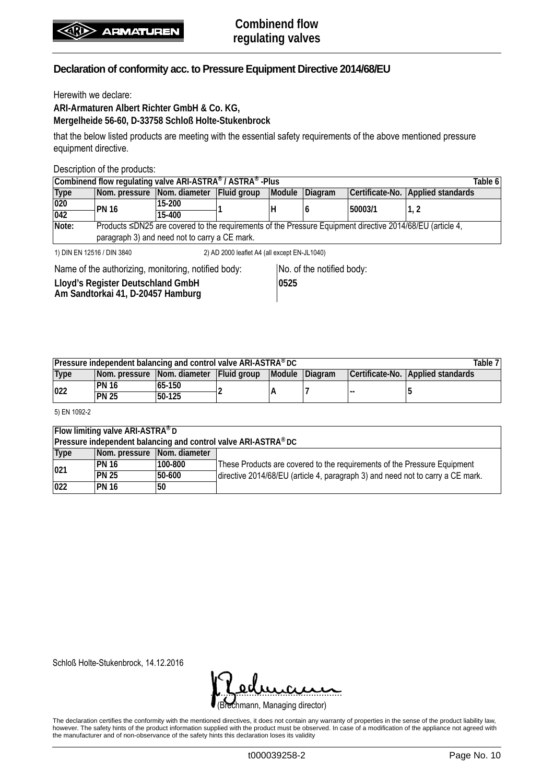Herewith we declare:

**ARI-Armaturen Albert Richter GmbH & Co. KG, Mergelheide 56-60, D-33758 Schloß Holte-Stukenbrock**

that the below listed products are meeting with the essential safety requirements of the above mentioned pressure equipment directive.

Description of the products:

| Combinend flow regulating valve ARI-ASTRA® / ASTRA® -Plus<br>Table 6       |                                                                                                                 |          |  |        |         |         |                                   |  |  |  |
|----------------------------------------------------------------------------|-----------------------------------------------------------------------------------------------------------------|----------|--|--------|---------|---------|-----------------------------------|--|--|--|
| <b>Type</b>                                                                | Nom. pressure Nom. diameter Fluid group                                                                         |          |  | Module | Diagram |         | Certificate-No. Applied standards |  |  |  |
| $ 020\rangle$                                                              | <b>PN 16</b>                                                                                                    | 15-200   |  |        |         | 50003/1 | 1. 2                              |  |  |  |
| 042                                                                        |                                                                                                                 | $15-400$ |  |        |         |         |                                   |  |  |  |
| Note:                                                                      | Products $\leq$ DN25 are covered to the requirements of the Pressure Equipment directive 2014/68/EU (article 4, |          |  |        |         |         |                                   |  |  |  |
|                                                                            | paragraph 3) and need not to carry a CE mark.                                                                   |          |  |        |         |         |                                   |  |  |  |
| 1) DIN EN 12516 / DIN 3840<br>2) AD 2000 leaflet A4 (all except EN-JL1040) |                                                                                                                 |          |  |        |         |         |                                   |  |  |  |

Name of the authorizing, monitoring, notified body: No. of the notified body:

**Lloyd's Register Deutschland GmbH Am Sandtorkai 41, D-20457 Hamburg**

**0525**

**Pressure independent balancing and control valve ARI-ASTRA® DC Table 7 Type Nom. pressure Nom. diameter Fluid group Module Diagram Certificate-No. Applied standards <sup>022</sup> PN 16 65-150 2 A 7 -- 5 PN 25 50-125**

5) EN 1092-2

| <b>Flow limiting valve ARI-ASTRA®D</b>                         |                             |         |                                                                                |  |  |  |  |  |  |
|----------------------------------------------------------------|-----------------------------|---------|--------------------------------------------------------------------------------|--|--|--|--|--|--|
| Pressure independent balancing and control valve ARI-ASTRA® DC |                             |         |                                                                                |  |  |  |  |  |  |
| Type                                                           | Nom. pressure Nom. diameter |         |                                                                                |  |  |  |  |  |  |
|                                                                | <b>PN 16</b>                | 100-800 | These Products are covered to the requirements of the Pressure Equipment       |  |  |  |  |  |  |
| 021                                                            | <b>PN 25</b>                | 50-600  | directive 2014/68/EU (article 4, paragraph 3) and need not to carry a CE mark. |  |  |  |  |  |  |
| $\overline{022}$                                               | <b>PN 16</b>                | 50      |                                                                                |  |  |  |  |  |  |

Schloß Holte-Stukenbrock, 14.12.2016

(Brechmann, Managing director) <u>. semana</u>

The declaration certifies the conformity with the mentioned directives, it does not contain any warranty of properties in the sense of the product liability law, however. The safety hints of the product information supplied with the product must be observed. In case of a modification of the appliance not agreed with the manufacturer and of non-observance of the safety hints this declaration loses its validity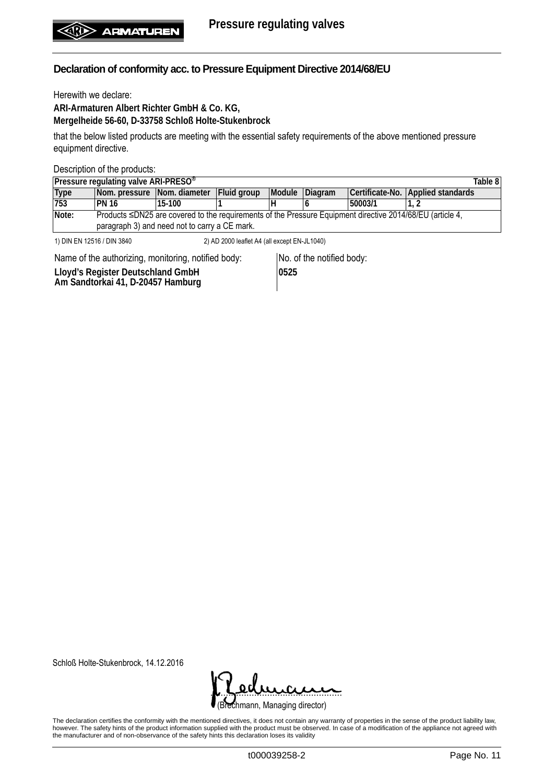Herewith we declare:

**ARI-Armaturen Albert Richter GmbH & Co. KG, Mergelheide 56-60, D-33758 Schloß Holte-Stukenbrock**

that the below listed products are meeting with the essential safety requirements of the above mentioned pressure equipment directive.

Description of the products:

| Pressure regulating valve ARI-PRESO <sup>®</sup><br>Table 8                |                                               |                                                                                                                 |             |        |         |         |                                   |  |  |  |
|----------------------------------------------------------------------------|-----------------------------------------------|-----------------------------------------------------------------------------------------------------------------|-------------|--------|---------|---------|-----------------------------------|--|--|--|
| Type                                                                       |                                               | Nom. pressure Nom. diameter                                                                                     | Fluid group | Module | Diagram |         | Certificate-No. Applied standards |  |  |  |
| 753                                                                        | IPN 16                                        | 15-100                                                                                                          |             | Н      |         | 50003/1 |                                   |  |  |  |
| Note:                                                                      |                                               | Products $\leq$ DN25 are covered to the requirements of the Pressure Equipment directive 2014/68/EU (article 4, |             |        |         |         |                                   |  |  |  |
|                                                                            | paragraph 3) and need not to carry a CE mark. |                                                                                                                 |             |        |         |         |                                   |  |  |  |
| 1) DIN EN 12516 / DIN 3840<br>2) AD 2000 leaflet A4 (all except EN-JL1040) |                                               |                                                                                                                 |             |        |         |         |                                   |  |  |  |

Name of the authorizing, monitoring, notified body: No. of the notified body: **Lloyd's Register Deutschland GmbH Am Sandtorkai 41, D-20457 Hamburg 0525**

Schloß Holte-Stukenbrock, 14.12.2016

(Brechmann, Managing director) <u>. semana</u>

The declaration certifies the conformity with the mentioned directives, it does not contain any warranty of properties in the sense of the product liability law, however. The safety hints of the product information supplied with the product must be observed. In case of a modification of the appliance not agreed with the manufacturer and of non-observance of the safety hints this declaration loses its validity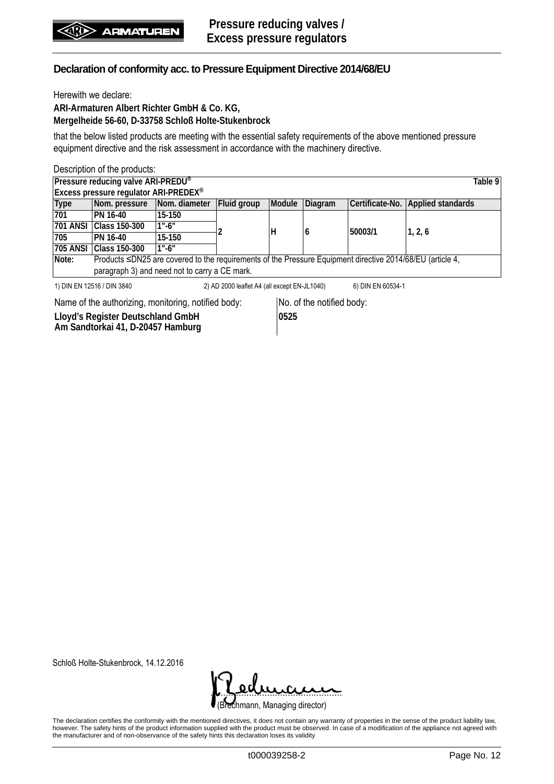Herewith we declare:

**ARI-Armaturen Albert Richter GmbH & Co. KG, Mergelheide 56-60, D-33758 Schloß Holte-Stukenbrock**

that the below listed products are meeting with the essential safety requirements of the above mentioned pressure equipment directive and the risk assessment in accordance with the machinery directive.

|                                                     | Description of the products:                                                                              |               |                                              |        |                           |                   |                          |         |
|-----------------------------------------------------|-----------------------------------------------------------------------------------------------------------|---------------|----------------------------------------------|--------|---------------------------|-------------------|--------------------------|---------|
|                                                     | Pressure reducing valve ARI-PREDU®                                                                        |               |                                              |        |                           |                   |                          | Table 9 |
|                                                     | Excess pressure regulator ARI-PREDEX®                                                                     |               |                                              |        |                           |                   |                          |         |
| <b>Type</b>                                         | Nom. pressure                                                                                             | Nom. diameter | Fluid group                                  | Module | Diagram                   | Certificate-No.   | <b>Applied standards</b> |         |
| 701                                                 | PN 16-40                                                                                                  | 15-150        |                                              | н      | 6                         | 50003/1           |                          |         |
| <b>701 ANSI</b>                                     | Class 150-300                                                                                             | $1" - 6"$     |                                              |        |                           |                   | 1, 2, 6                  |         |
| 705                                                 | PN 16-40                                                                                                  | 15-150        |                                              |        |                           |                   |                          |         |
| <b>705 ANSI</b>                                     | <b>Class 150-300</b>                                                                                      | $1" - 6"$     |                                              |        |                           |                   |                          |         |
| Note:                                               | Products ≤DN25 are covered to the requirements of the Pressure Equipment directive 2014/68/EU (article 4, |               |                                              |        |                           |                   |                          |         |
|                                                     | paragraph 3) and need not to carry a CE mark.                                                             |               |                                              |        |                           |                   |                          |         |
|                                                     | 1) DIN EN 12516 / DIN 3840                                                                                |               | 2) AD 2000 leaflet A4 (all except EN-JL1040) |        |                           | 6) DIN EN 60534-1 |                          |         |
| Name of the authorizing, monitoring, notified body: |                                                                                                           |               |                                              |        | No. of the notified body: |                   |                          |         |
| Lloyd's Register Deutschland GmbH                   |                                                                                                           |               | 0525                                         |        |                           |                   |                          |         |

**Lloyd's Register Deutschland GmbH Am Sandtorkai 41, D-20457 Hamburg**

Schloß Holte-Stukenbrock, 14.12.2016

| dumen                          |  |
|--------------------------------|--|
| (Brechmann, Managing director) |  |

The declaration certifies the conformity with the mentioned directives, it does not contain any warranty of properties in the sense of the product liability law, however. The safety hints of the product information supplied with the product must be observed. In case of a modification of the appliance not agreed with the manufacturer and of non-observance of the safety hints this declaration loses its validity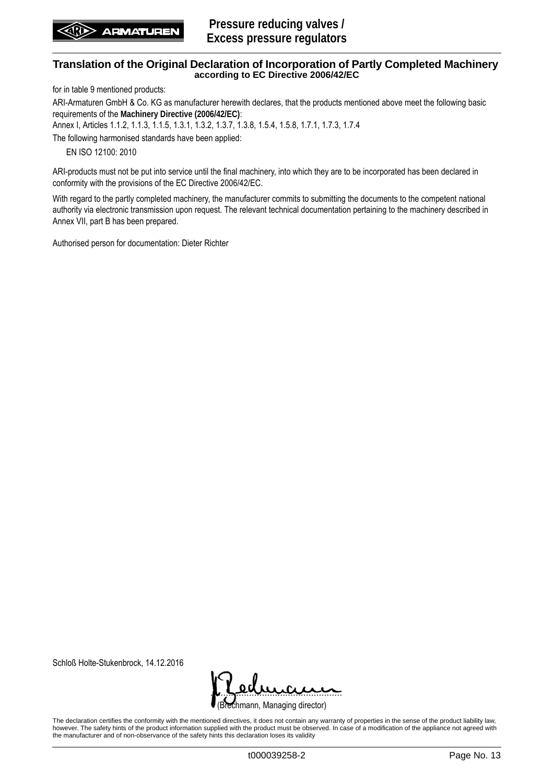for in table 9 mentioned products:

ARI-Armaturen GmbH & Co. KG as manufacturer herewith declares, that the products mentioned above meet the following basic requirements of the **Machinery Directive (2006/42/EC)**:

Annex I, Articles 1.1.2, 1.1.3, 1.1.5, 1.3.1, 1.3.2, 1.3.7, 1.3.8, 1.5.4, 1.5.8, 1.7.1, 1.7.3, 1.7.4

The following harmonised standards have been applied:

EN ISO 12100: 2010

ARI-products must not be put into service until the final machinery, into which they are to be incorporated has been declared in conformity with the provisions of the EC Directive 2006/42/EC.

With regard to the partly completed machinery, the manufacturer commits to submitting the documents to the competent national authority via electronic transmission upon request. The relevant technical documentation pertaining to the machinery described in Annex VII, part B has been prepared.

Authorised person for documentation: Dieter Richter

Schloß Holte-Stukenbrock, 14.12.2016

rechmann, Managing director) <u>. semana</u>

The declaration certifies the conformity with the mentioned directives, it does not contain any warranty of properties in the sense of the product liability law, however. The safety hints of the product information supplied with the product must be observed. In case of a modification of the appliance not agreed with the manufacturer and of non-observance of the safety hints this declaration loses its validity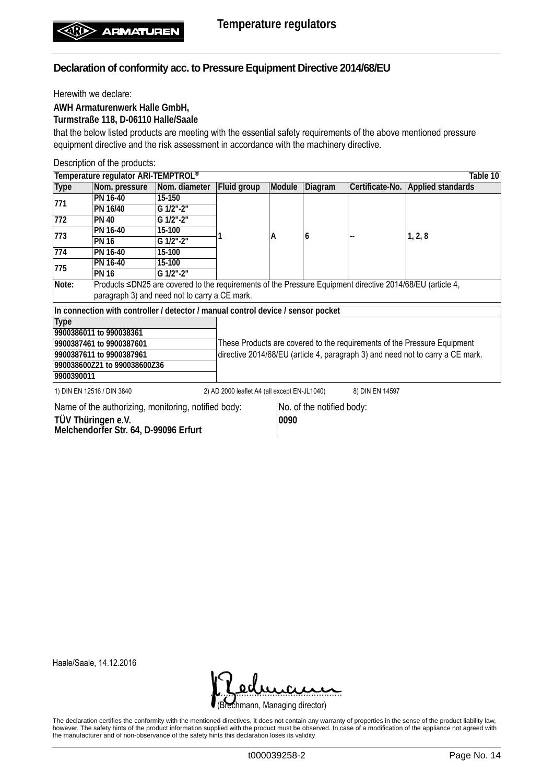Herewith we declare:

**AWH Armaturenwerk Halle GmbH,**

**Turmstraße 118, D-06110 Halle/Saale**

that the below listed products are meeting with the essential safety requirements of the above mentioned pressure equipment directive and the risk assessment in accordance with the machinery directive.

Description of the products:

|                                                                                  | Temperature regulator ARI-TEMPTROL®<br>Table 10                                                           |                              |                                                                                |        |         |                 |                                                                          |  |  |  |
|----------------------------------------------------------------------------------|-----------------------------------------------------------------------------------------------------------|------------------------------|--------------------------------------------------------------------------------|--------|---------|-----------------|--------------------------------------------------------------------------|--|--|--|
| <b>Type</b>                                                                      | Nom. pressure                                                                                             | Nom. diameter                | Fluid group                                                                    | Module | Diagram |                 | Certificate-No. Applied standards                                        |  |  |  |
|                                                                                  | PN 16-40                                                                                                  | 15-150                       |                                                                                |        |         |                 |                                                                          |  |  |  |
| 771                                                                              | PN 16/40                                                                                                  | G 1/2"-2"                    |                                                                                |        |         |                 |                                                                          |  |  |  |
| 772                                                                              | <b>PN 40</b>                                                                                              | $G$ 1/2"- $2^{\prime\prime}$ |                                                                                |        |         |                 |                                                                          |  |  |  |
| 773                                                                              | PN 16-40                                                                                                  | 15-100                       |                                                                                | A      | 6       |                 |                                                                          |  |  |  |
|                                                                                  | <b>PN 16</b>                                                                                              | G 1/2"-2"                    |                                                                                |        |         |                 | 1, 2, 8                                                                  |  |  |  |
| 774                                                                              | PN 16-40                                                                                                  | 15-100                       |                                                                                |        |         |                 |                                                                          |  |  |  |
| 775                                                                              | PN 16-40                                                                                                  | 15-100                       |                                                                                |        |         |                 |                                                                          |  |  |  |
|                                                                                  | <b>PN 16</b>                                                                                              | G 1/2"-2"                    |                                                                                |        |         |                 |                                                                          |  |  |  |
| Note:                                                                            | Products ≤DN25 are covered to the requirements of the Pressure Equipment directive 2014/68/EU (article 4, |                              |                                                                                |        |         |                 |                                                                          |  |  |  |
|                                                                                  | paragraph 3) and need not to carry a CE mark.                                                             |                              |                                                                                |        |         |                 |                                                                          |  |  |  |
|                                                                                  | In connection with controller / detector / manual control device / sensor pocket                          |                              |                                                                                |        |         |                 |                                                                          |  |  |  |
| <b>Type</b>                                                                      |                                                                                                           |                              |                                                                                |        |         |                 |                                                                          |  |  |  |
|                                                                                  | 9900386011 to 990038361                                                                                   |                              |                                                                                |        |         |                 |                                                                          |  |  |  |
|                                                                                  | 9900387461 to 9900387601                                                                                  |                              |                                                                                |        |         |                 | These Products are covered to the requirements of the Pressure Equipment |  |  |  |
|                                                                                  | 9900387611 to 9900387961                                                                                  |                              | directive 2014/68/EU (article 4, paragraph 3) and need not to carry a CE mark. |        |         |                 |                                                                          |  |  |  |
|                                                                                  | 990038600Z21 to 990038600Z36                                                                              |                              |                                                                                |        |         |                 |                                                                          |  |  |  |
| 9900390011                                                                       |                                                                                                           |                              |                                                                                |        |         |                 |                                                                          |  |  |  |
|                                                                                  | 1) DIN EN 12516 / DIN 3840                                                                                |                              | 2) AD 2000 leaflet A4 (all except EN-JL1040)                                   |        |         | 8) DIN EN 14597 |                                                                          |  |  |  |
| No. of the notified body:<br>Name of the authorizing, monitoring, notified body: |                                                                                                           |                              |                                                                                |        |         |                 |                                                                          |  |  |  |

**TÜV Thüringen e.V. Melchendorfer Str. 64, D-99096 Erfurt** **0090**

Haale/Saale, 14.12.2016



The declaration certifies the conformity with the mentioned directives, it does not contain any warranty of properties in the sense of the product liability law, however. The safety hints of the product information supplied with the product must be observed. In case of a modification of the appliance not agreed with the manufacturer and of non-observance of the safety hints this declaration loses its validity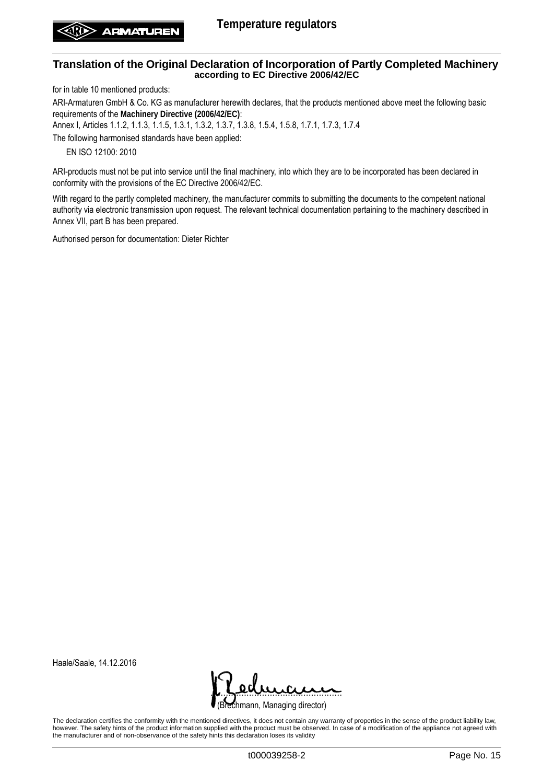for in table 10 mentioned products:

ARI-Armaturen GmbH & Co. KG as manufacturer herewith declares, that the products mentioned above meet the following basic requirements of the **Machinery Directive (2006/42/EC)**:

Annex I, Articles 1.1.2, 1.1.3, 1.1.5, 1.3.1, 1.3.2, 1.3.7, 1.3.8, 1.5.4, 1.5.8, 1.7.1, 1.7.3, 1.7.4

The following harmonised standards have been applied:

EN ISO 12100: 2010

ARI-products must not be put into service until the final machinery, into which they are to be incorporated has been declared in conformity with the provisions of the EC Directive 2006/42/EC.

With regard to the partly completed machinery, the manufacturer commits to submitting the documents to the competent national authority via electronic transmission upon request. The relevant technical documentation pertaining to the machinery described in Annex VII, part B has been prepared.

Authorised person for documentation: Dieter Richter

Haale/Saale, 14.12.2016



The declaration certifies the conformity with the mentioned directives, it does not contain any warranty of properties in the sense of the product liability law, however. The safety hints of the product information supplied with the product must be observed. In case of a modification of the appliance not agreed with the manufacturer and of non-observance of the safety hints this declaration loses its validity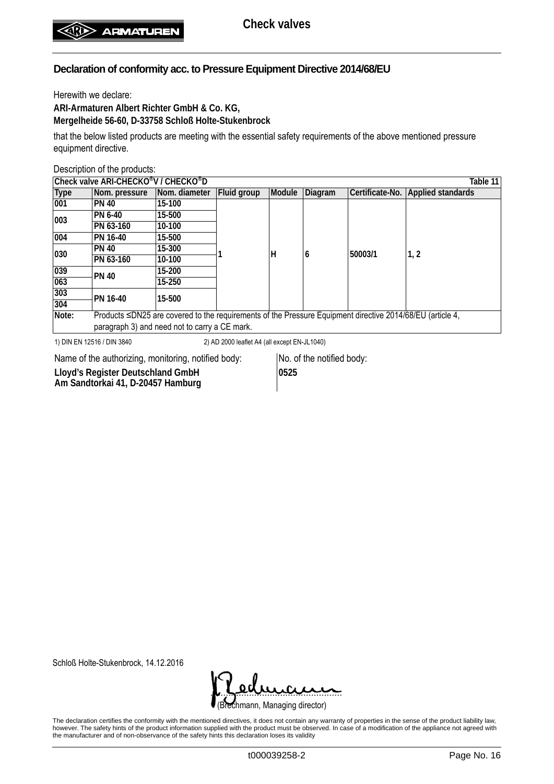Herewith we declare:

**ARI-Armaturen Albert Richter GmbH & Co. KG, Mergelheide 56-60, D-33758 Schloß Holte-Stukenbrock**

that the below listed products are meeting with the essential safety requirements of the above mentioned pressure equipment directive.

Description of the products:

| Check valve ARI-CHECKO <sup>®</sup> V / CHECKO <sup>®</sup> D<br>Table 11 |                                                                                                           |               |             |        |         |                 |                          |  |  |
|---------------------------------------------------------------------------|-----------------------------------------------------------------------------------------------------------|---------------|-------------|--------|---------|-----------------|--------------------------|--|--|
| <b>Type</b>                                                               | Nom. pressure                                                                                             | Nom. diameter | Fluid group | Module | Diagram | Certificate-No. | <b>Applied standards</b> |  |  |
| 001                                                                       | <b>PN 40</b>                                                                                              | 15-100        |             |        |         |                 |                          |  |  |
| 003                                                                       | PN 6-40                                                                                                   | 15-500        |             | н      |         | 50003/1         |                          |  |  |
|                                                                           | PN 63-160                                                                                                 | 10-100        |             |        |         |                 |                          |  |  |
| 004                                                                       | PN 16-40                                                                                                  | 15-500        |             |        |         |                 |                          |  |  |
| 030                                                                       | <b>PN 40</b>                                                                                              | 15-300        |             |        |         |                 | 1, 2                     |  |  |
|                                                                           | PN 63-160                                                                                                 | 10-100        |             |        | 6       |                 |                          |  |  |
| 039                                                                       | <b>PN 40</b>                                                                                              | 15-200        |             |        |         |                 |                          |  |  |
| 063                                                                       |                                                                                                           | 15-250        |             |        |         |                 |                          |  |  |
| 303                                                                       | PN 16-40                                                                                                  | 15-500        |             |        |         |                 |                          |  |  |
| 304                                                                       |                                                                                                           |               |             |        |         |                 |                          |  |  |
| Note:                                                                     | Products ≤DN25 are covered to the requirements of the Pressure Equipment directive 2014/68/EU (article 4, |               |             |        |         |                 |                          |  |  |
|                                                                           | paragraph 3) and need not to carry a CE mark.                                                             |               |             |        |         |                 |                          |  |  |
| . . _ _ <i>. _</i> . _ _ .                                                |                                                                                                           |               |             |        |         |                 |                          |  |  |

1) DIN EN 12516 / DIN 3840 2) AD 2000 leaflet A4 (all except EN-JL1040)

Name of the authorizing, monitoring, notified body: No. of the notified body:

**Lloyd's Register Deutschland GmbH Am Sandtorkai 41, D-20457 Hamburg**

**0525**

Schloß Holte-Stukenbrock, 14.12.2016

(Brechmann, Managing director) <u>. semana</u>

The declaration certifies the conformity with the mentioned directives, it does not contain any warranty of properties in the sense of the product liability law, however. The safety hints of the product information supplied with the product must be observed. In case of a modification of the appliance not agreed with the manufacturer and of non-observance of the safety hints this declaration loses its validity